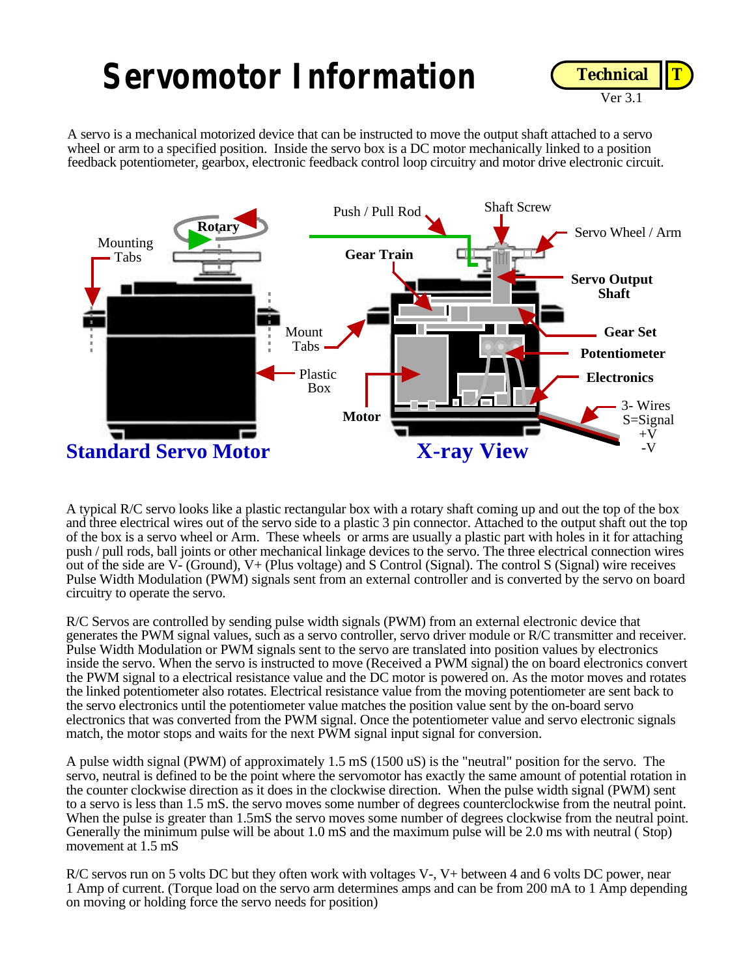## **Servomotor Information**



A servo is a mechanical motorized device that can be instructed to move the output shaft attached to a servo wheel or arm to a specified position. Inside the servo box is a DC motor mechanically linked to a position feedback potentiometer, gearbox, electronic feedback control loop circuitry and motor drive electronic circuit.



A typical R/C servo looks like a plastic rectangular box with a rotary shaft coming up and out the top of the box and three electrical wires out of the servo side to a plastic 3 pin connector. Attached to the output shaft out the top of the box is a servo wheel or Arm. These wheels or arms are usually a plastic part with holes in it for attaching push / pull rods, ball joints or other mechanical linkage devices to the servo. The three electrical connection wires out of the side are V- (Ground), V+ (Plus voltage) and S Control (Signal). The control S (Signal) wire receives Pulse Width Modulation (PWM) signals sent from an external controller and is converted by the servo on board circuitry to operate the servo.

R/C Servos are controlled by sending pulse width signals (PWM) from an external electronic device that generates the PWM signal values, such as a servo controller, servo driver module or R/C transmitter and receiver. Pulse Width Modulation or PWM signals sent to the servo are translated into position values by electronics inside the servo. When the servo is instructed to move (Received a PWM signal) the on board electronics convert the PWM signal to a electrical resistance value and the DC motor is powered on. As the motor moves and rotates the linked potentiometer also rotates. Electrical resistance value from the moving potentiometer are sent back to the servo electronics until the potentiometer value matches the position value sent by the on-board servo electronics that was converted from the PWM signal. Once the potentiometer value and servo electronic signals match, the motor stops and waits for the next PWM signal input signal for conversion.

A pulse width signal (PWM) of approximately 1.5 mS (1500 uS) is the "neutral" position for the servo. The servo, neutral is defined to be the point where the servomotor has exactly the same amount of potential rotation in the counter clockwise direction as it does in the clockwise direction. When the pulse width signal (PWM) sent to a servo is less than 1.5 mS. the servo moves some number of degrees counterclockwise from the neutral point. When the pulse is greater than 1.5mS the servo moves some number of degrees clockwise from the neutral point. Generally the minimum pulse will be about 1.0 mS and the maximum pulse will be 2.0 ms with neutral ( Stop) movement at 1.5 mS

R/C servos run on 5 volts DC but they often work with voltages V-, V+ between 4 and 6 volts DC power, near 1 Amp of current. (Torque load on the servo arm determines amps and can be from 200 mA to 1 Amp depending on moving or holding force the servo needs for position)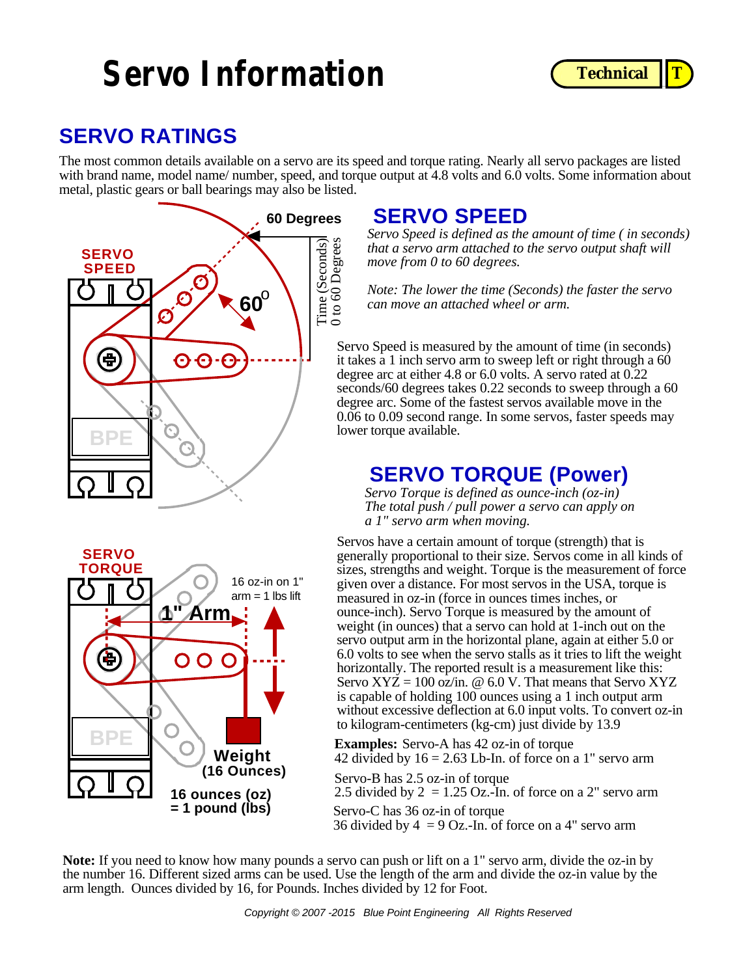## **Servo Information C** Technical T



### **SERVO RATINGS**

The most common details available on a servo are its speed and torque rating. Nearly all servo packages are listed with brand name, model name/ number, speed, and torque output at 4.8 volts and 6.0 volts. Some information about metal, plastic gears or ball bearings may also be listed.



### **SERVO TORQUE** 16 oz-in on 1" **1" Arm**  $arm = 1$  lbs lift ŧ  $\mathbf O$  $\Omega$ **BP Weight (16 Ounces) 16 ounces (oz) = 1 pound (lbs)**

### **SERVO SPEED**

*Servo Speed is defined as the amount of time ( in seconds) that a servo arm attached to the servo output shaft will move from 0 to 60 degrees.*

*Note: The lower the time (Seconds) the faster the servo can move an attached wheel or arm.*

Servo Speed is measured by the amount of time (in seconds) it takes a 1 inch servo arm to sweep left or right through a 60 degree arc at either 4.8 or 6.0 volts. A servo rated at 0.22 seconds/60 degrees takes 0.22 seconds to sweep through a 60 degree arc. Some of the fastest servos available move in the 0.06 to 0.09 second range. In some servos, faster speeds may lower torque available.

### **SERVO TORQUE (Power)**

*Servo Torque is defined as ounce-inch (oz-in) The total push / pull power a servo can apply on a 1" servo arm when moving.*

Servos have a certain amount of torque (strength) that is generally proportional to their size. Servos come in all kinds of sizes, strengths and weight. Torque is the measurement of force given over a distance. For most servos in the USA, torque is measured in oz-in (force in ounces times inches, or ounce-inch). Servo Torque is measured by the amount of weight (in ounces) that a servo can hold at 1-inch out on the servo output arm in the horizontal plane, again at either 5.0 or 6.0 volts to see when the servo stalls as it tries to lift the weight horizontally. The reported result is a measurement like this: Servo  $XYZ = 100$  oz/in. @ 6.0 V. That means that Servo  $XYZ$ is capable of holding 100 ounces using a 1 inch output arm without excessive deflection at 6.0 input volts. To convert oz-in to kilogram-centimeters (kg-cm) just divide by 13.9

**Examples:** Servo-A has 42 oz-in of torque 42 divided by  $16 = 2.63$  Lb-In. of force on a 1" servo arm

Servo-B has 2.5 oz-in of torque 2.5 divided by  $2 = 1.25$  Oz.-In. of force on a 2" servo arm Servo-C has 36 oz-in of torque

36 divided by  $4 = 9$  Oz.-In. of force on a 4" servo arm

**Note:** If you need to know how many pounds a servo can push or lift on a 1" servo arm, divide the oz-in by the number 16. Different sized arms can be used. Use the length of the arm and divide the oz-in value by the arm length. Ounces divided by 16, for Pounds. Inches divided by 12 for Foot.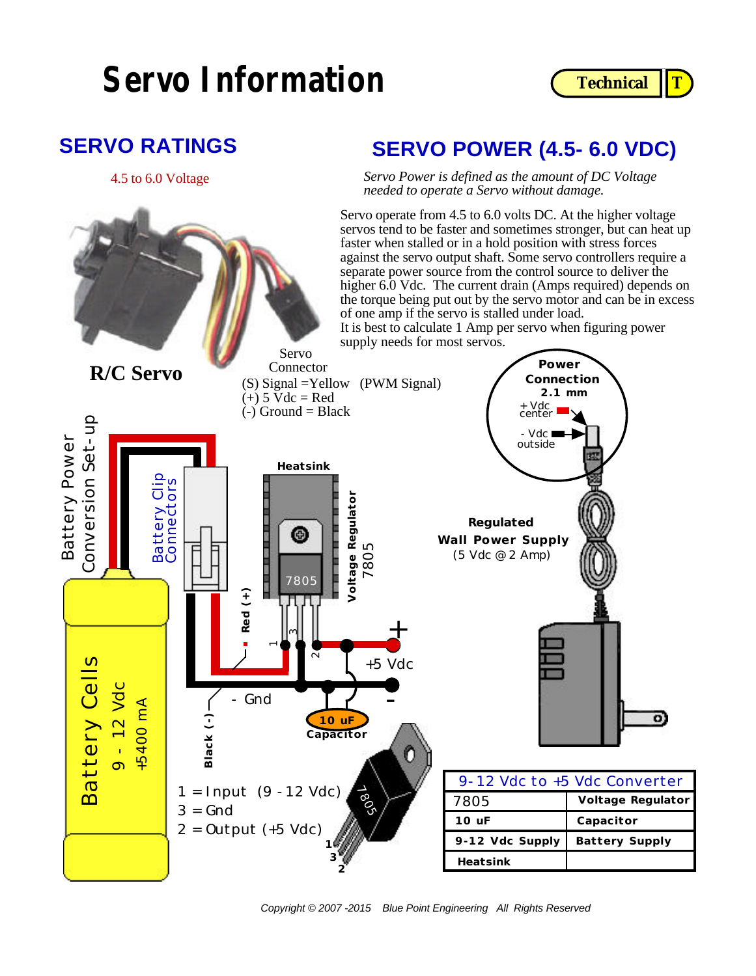## **Servo Information C** Technical T



### **SERVO RATINGS**

### **SERVO POWER (4.5- 6.0 VDC)**

*Servo Power is defined as the amount of DC Voltage needed to operate a Servo without damage.* 4.5 to 6.0 Voltage

> Servo operate from 4.5 to 6.0 volts DC. At the higher voltage servos tend to be faster and sometimes stronger, but can heat up faster when stalled or in a hold position with stress forces against the servo output shaft. Some servo controllers require a separate power source from the control source to deliver the higher 6.0 Vdc. The current drain (Amps required) depends on the torque being put out by the servo motor and can be in excess of one amp if the servo is stalled under load.

It is best to calculate 1 Amp per servo when figuring power supply needs for most servos.

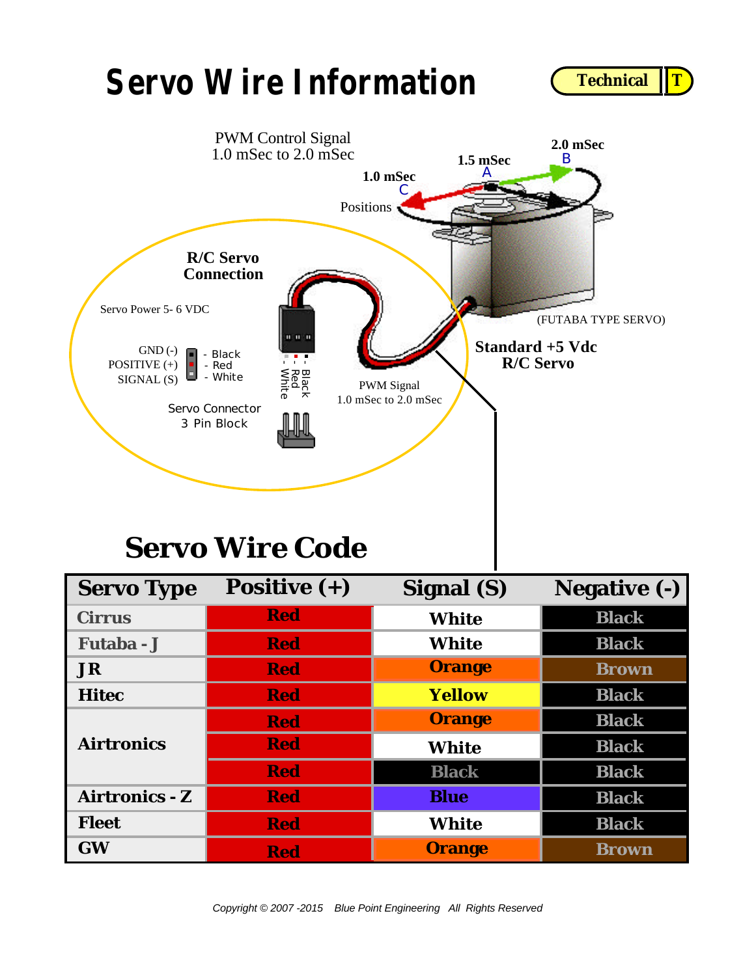## **Servo Wire Information**





## **Servo Wire Code**

| <b>Servo Type</b>     | Positive $(+)$ | Signal (S)    | <b>Negative (-)</b> |
|-----------------------|----------------|---------------|---------------------|
| <b>Cirrus</b>         | <b>Red</b>     | <b>White</b>  | <b>Black</b>        |
| Futaba - J            | <b>Red</b>     | <b>White</b>  | <b>Black</b>        |
| <b>JR</b>             | <b>Red</b>     | <b>Orange</b> | <b>Brown</b>        |
| <b>Hitec</b>          | <b>Red</b>     | <b>Yellow</b> | <b>Black</b>        |
| <b>Airtronics</b>     | <b>Red</b>     | <b>Orange</b> | <b>Black</b>        |
|                       | <b>Red</b>     | <b>White</b>  | <b>Black</b>        |
|                       | <b>Red</b>     | <b>Black</b>  | <b>Black</b>        |
| <b>Airtronics - Z</b> | <b>Red</b>     | <b>Blue</b>   | <b>Black</b>        |
| <b>Fleet</b>          | <b>Red</b>     | <b>White</b>  | <b>Black</b>        |
| <b>GW</b>             | <b>Red</b>     | <b>Orange</b> | <b>Brown</b>        |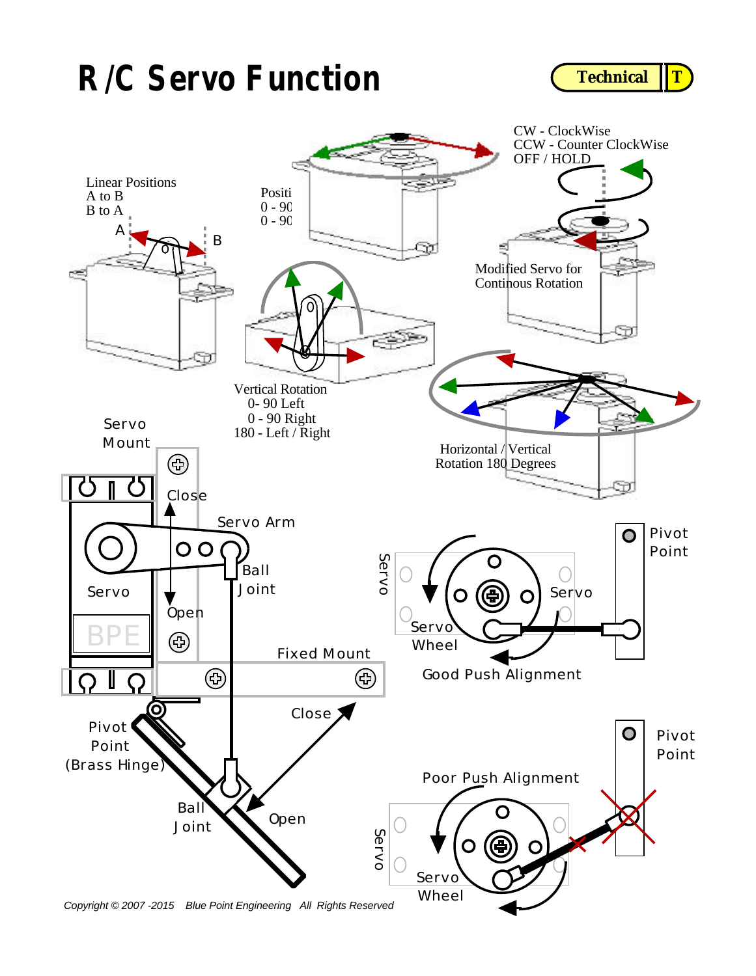## **R/C Servo Function C** Technical T



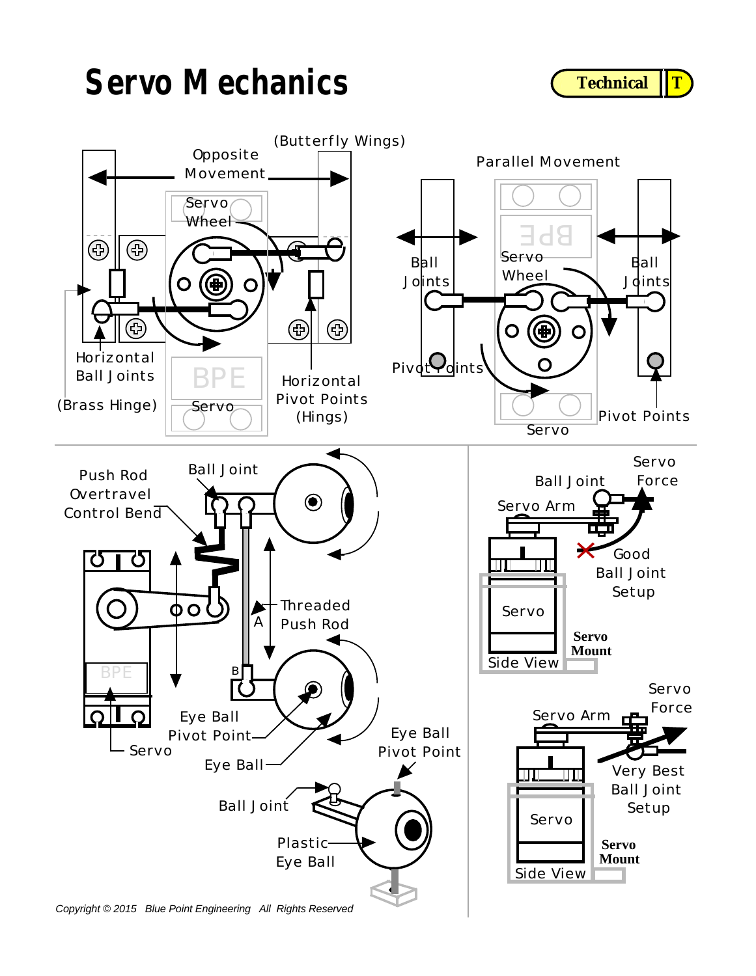## **Servo Mechanics**





*Copyright © 2015 Blue Point Engineering All Rights Reserved*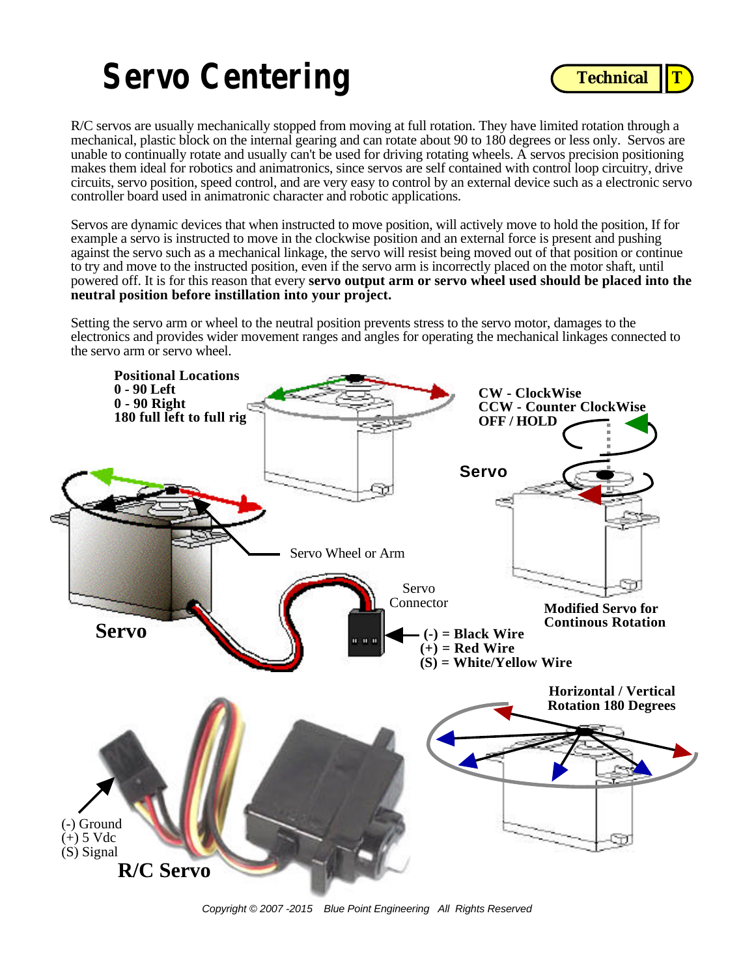# **Servo Centering**



R/C servos are usually mechanically stopped from moving at full rotation. They have limited rotation through a mechanical, plastic block on the internal gearing and can rotate about 90 to 180 degrees or less only. Servos are unable to continually rotate and usually can't be used for driving rotating wheels. A servos precision positioning makes them ideal for robotics and animatronics, since servos are self contained with control loop circuitry, drive circuits, servo position, speed control, and are very easy to control by an external device such as a electronic servo controller board used in animatronic character and robotic applications.

Servos are dynamic devices that when instructed to move position, will actively move to hold the position, If for example a servo is instructed to move in the clockwise position and an external force is present and pushing against the servo such as a mechanical linkage, the servo will resist being moved out of that position or continue to try and move to the instructed position, even if the servo arm is incorrectly placed on the motor shaft, until powered off. It is for this reason that every **servo output arm or servo wheel used should be placed into the neutral position before instillation into your project.** 

Setting the servo arm or wheel to the neutral position prevents stress to the servo motor, damages to the electronics and provides wider movement ranges and angles for operating the mechanical linkages connected to the servo arm or servo wheel.



*Copyright © 2007 -2015 Blue Point Engineering All Rights Reserved*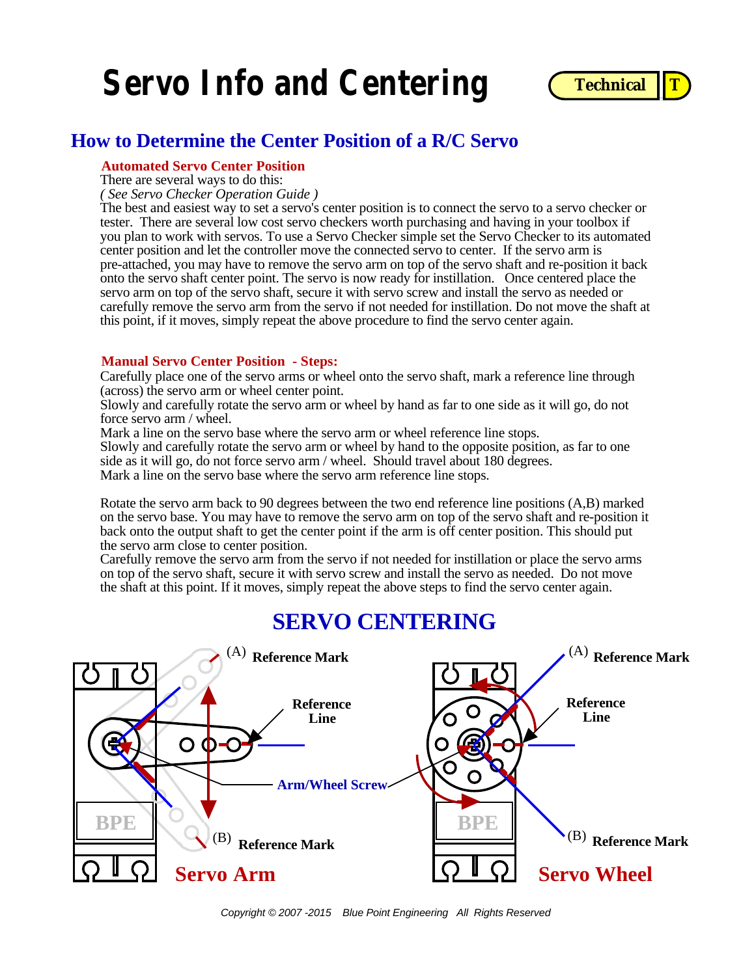



### **How to Determine the Center Position of a R/C Servo**

#### **Automated Servo Center Position**

There are several ways to do this:

*( See Servo Checker Operation Guide )*

The best and easiest way to set a servo's center position is to connect the servo to a servo checker or tester. There are several low cost servo checkers worth purchasing and having in your toolbox if you plan to work with servos. To use a Servo Checker simple set the Servo Checker to its automated center position and let the controller move the connected servo to center. If the servo arm is pre-attached, you may have to remove the servo arm on top of the servo shaft and re-position it back onto the servo shaft center point. The servo is now ready for instillation. Once centered place the servo arm on top of the servo shaft, secure it with servo screw and install the servo as needed or carefully remove the servo arm from the servo if not needed for instillation. Do not move the shaft at this point, if it moves, simply repeat the above procedure to find the servo center again.

#### **Manual Servo Center Position - Steps:**

Carefully place one of the servo arms or wheel onto the servo shaft, mark a reference line through (across) the servo arm or wheel center point.

Slowly and carefully rotate the servo arm or wheel by hand as far to one side as it will go, do not force servo arm / wheel.

Mark a line on the servo base where the servo arm or wheel reference line stops.

Slowly and carefully rotate the servo arm or wheel by hand to the opposite position, as far to one side as it will go, do not force servo arm / wheel. Should travel about 180 degrees. Mark a line on the servo base where the servo arm reference line stops.

Rotate the servo arm back to 90 degrees between the two end reference line positions (A,B) marked on the servo base. You may have to remove the servo arm on top of the servo shaft and re-position it back onto the output shaft to get the center point if the arm is off center position. This should put the servo arm close to center position.

Carefully remove the servo arm from the servo if not needed for instillation or place the servo arms on top of the servo shaft, secure it with servo screw and install the servo as needed. Do not move the shaft at this point. If it moves, simply repeat the above steps to find the servo center again.

### **SERVO CENTERING**

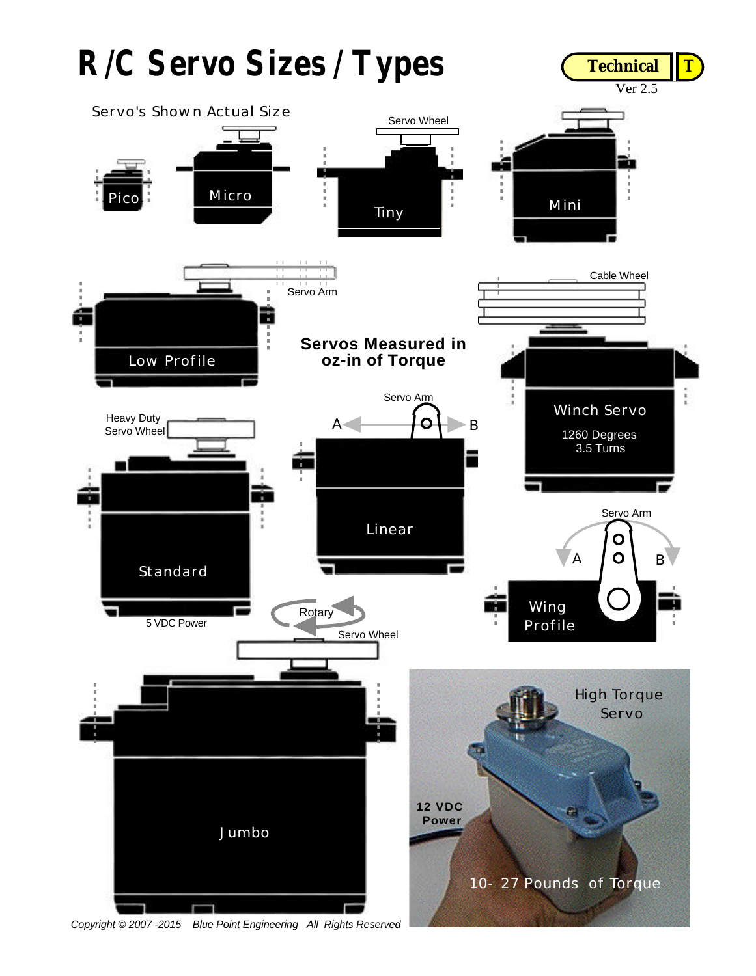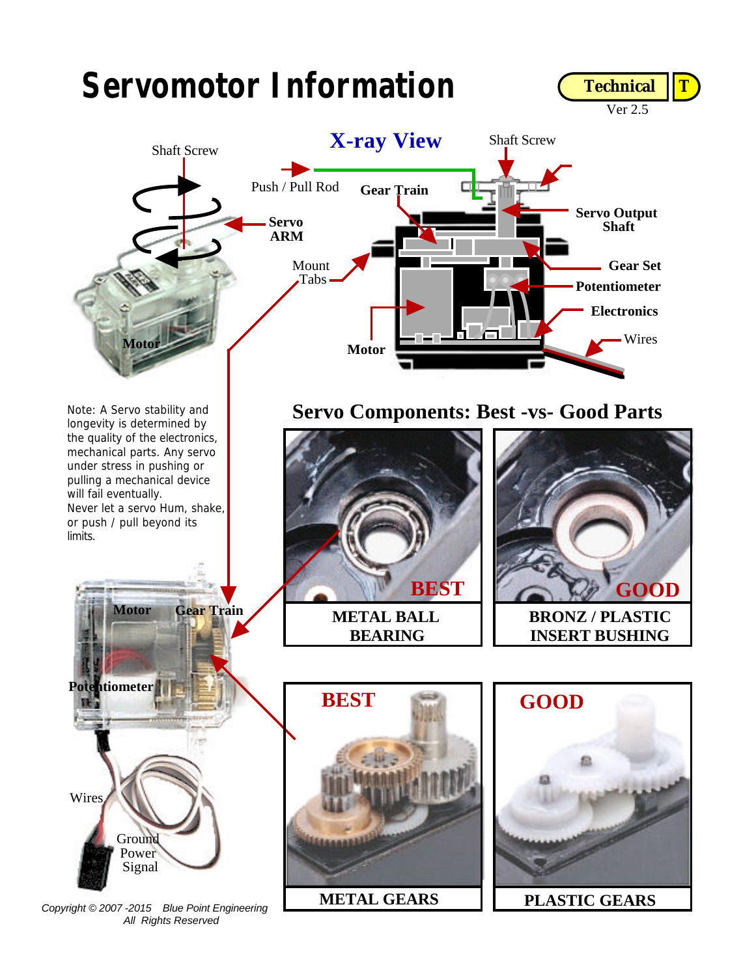

*Copyright © 2007 -2015 Blue Point Engineering All Rights Reserved*

**METAL GEARS PLASTIC GEARS**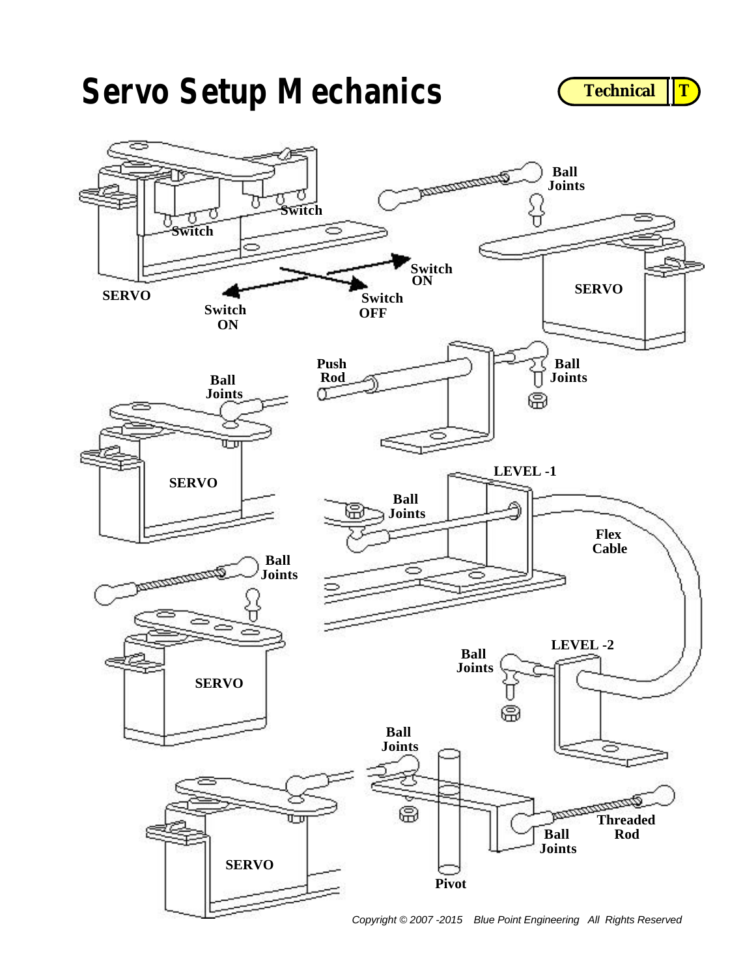# **Servo Setup Mechanics CECANIC CECANICAL CECANICAL CECANICAL CECANICAL CECANICAL CECANICAL CECANICAL CECANICAL CECANICAL CECANICAL CECANICAL CECANICAL CECANICAL CE**





*Copyright © 2007 -2015 Blue Point Engineering All Rights Reserved*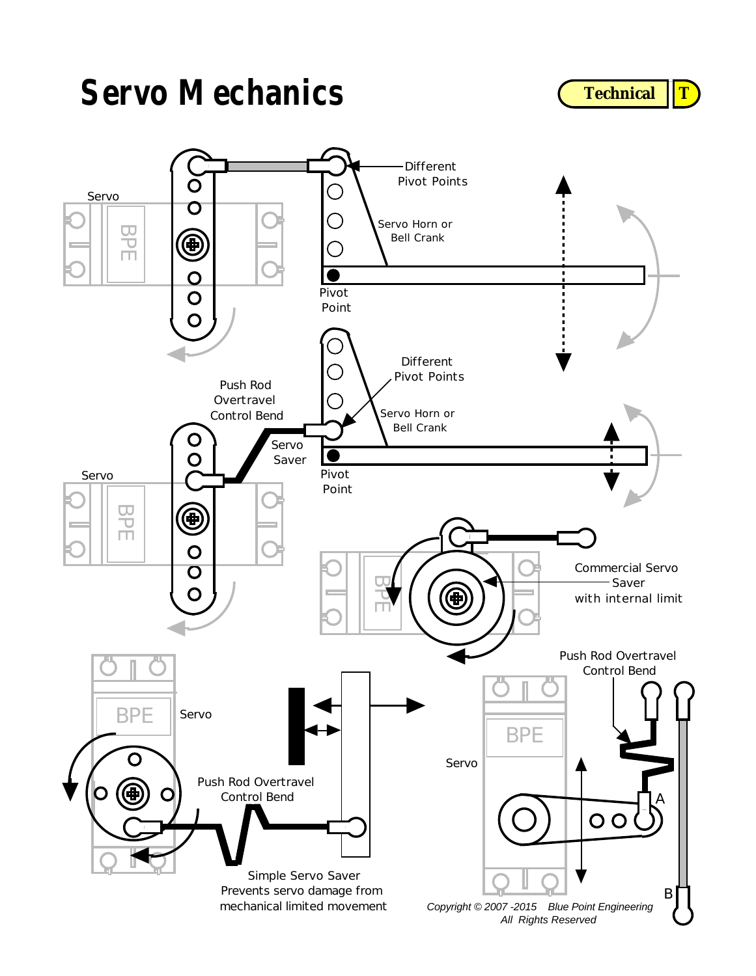## **Servo Mechanics**

**Technical T** 

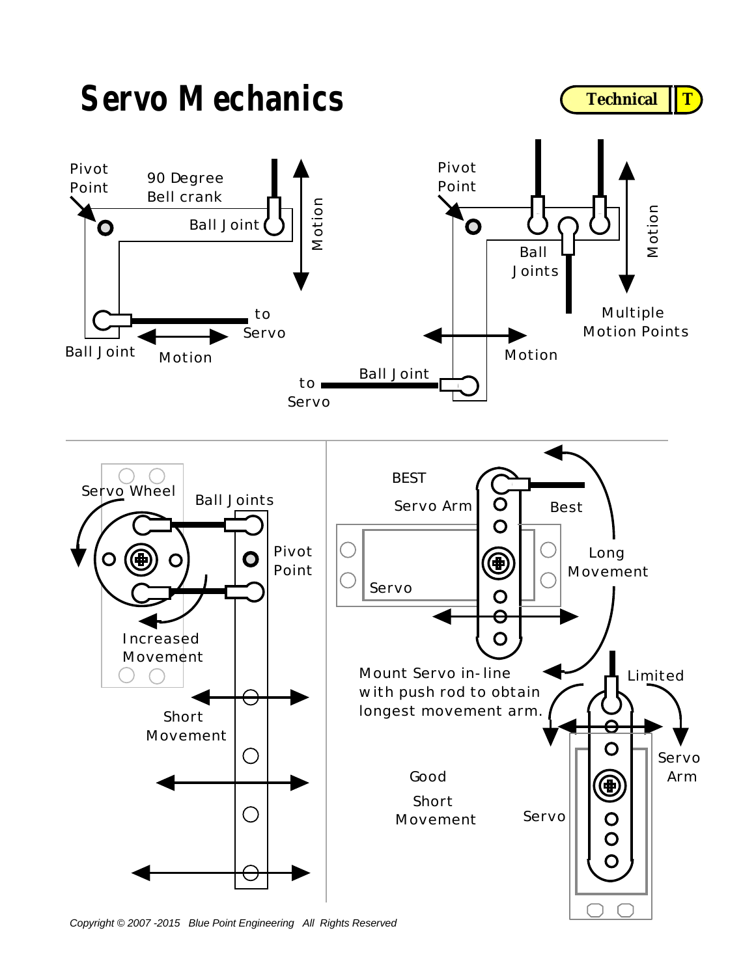

*Copyright © 2007 -2015 Blue Point Engineering All Rights Reserved*